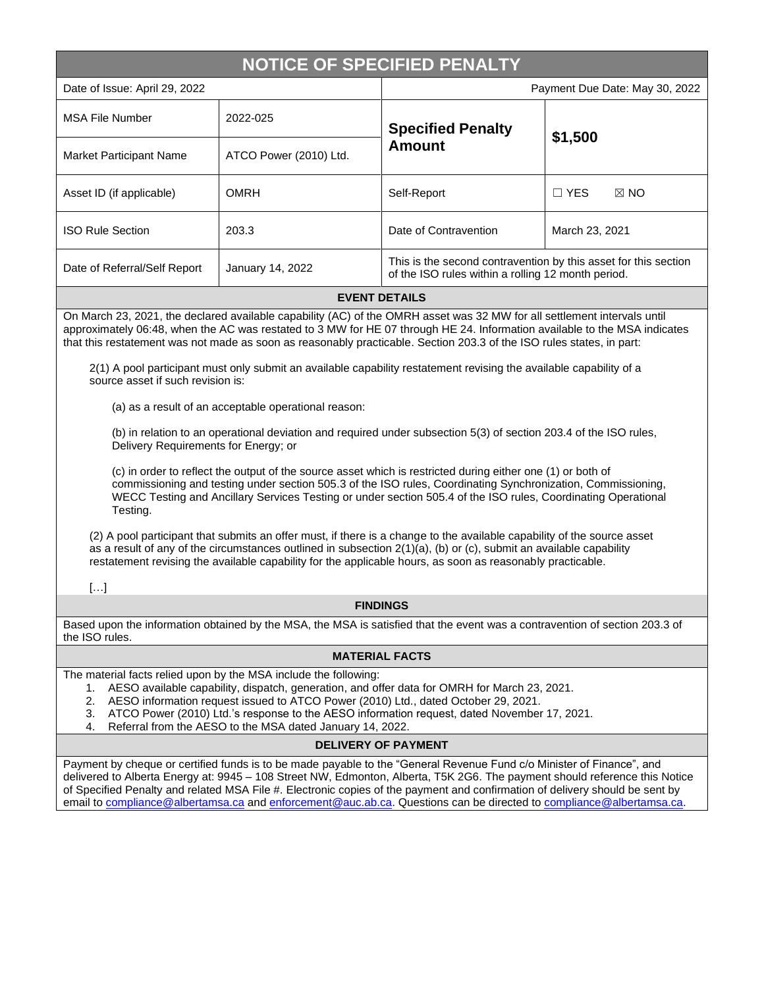# **NOTICE OF SPECIFIED PENALTY**

| Date of Issue: April 29, 2022                                                                                                                                                                                                                                                                                                                                                  |                        | Payment Due Date: May 30, 2022                                                                                        |                              |
|--------------------------------------------------------------------------------------------------------------------------------------------------------------------------------------------------------------------------------------------------------------------------------------------------------------------------------------------------------------------------------|------------------------|-----------------------------------------------------------------------------------------------------------------------|------------------------------|
| MSA File Number                                                                                                                                                                                                                                                                                                                                                                | 2022-025               | <b>Specified Penalty</b><br><b>Amount</b>                                                                             | \$1,500                      |
| Market Participant Name                                                                                                                                                                                                                                                                                                                                                        | ATCO Power (2010) Ltd. |                                                                                                                       |                              |
| Asset ID (if applicable)                                                                                                                                                                                                                                                                                                                                                       | OMRH                   | Self-Report                                                                                                           | $\Box$ YES<br>$\boxtimes$ NO |
| <b>ISO Rule Section</b>                                                                                                                                                                                                                                                                                                                                                        | 203.3                  | Date of Contravention                                                                                                 | March 23, 2021               |
| Date of Referral/Self Report                                                                                                                                                                                                                                                                                                                                                   | January 14, 2022       | This is the second contravention by this asset for this section<br>of the ISO rules within a rolling 12 month period. |                              |
| <b>EVENT DETAILS</b>                                                                                                                                                                                                                                                                                                                                                           |                        |                                                                                                                       |                              |
| On March 23, 2021, the declared available capability (AC) of the OMRH asset was 32 MW for all settlement intervals until<br>approximately 06:48, when the AC was restated to 3 MW for HE 07 through HE 24. Information available to the MSA indicates<br>that this restatement was not made as soon as reasonably practicable. Section 203.3 of the ISO rules states, in part: |                        |                                                                                                                       |                              |
| 2(1) A pool participant must only submit an available capability restatement revising the available capability of a<br>source asset if such revision is:                                                                                                                                                                                                                       |                        |                                                                                                                       |                              |

(a) as a result of an acceptable operational reason:

(b) in relation to an operational deviation and required under subsection 5(3) of section 203.4 of the ISO rules, Delivery Requirements for Energy; or

(c) in order to reflect the output of the source asset which is restricted during either one (1) or both of commissioning and testing under section 505.3 of the ISO rules, Coordinating Synchronization, Commissioning, WECC Testing and Ancillary Services Testing or under section 505.4 of the ISO rules, Coordinating Operational Testing.

(2) A pool participant that submits an offer must, if there is a change to the available capability of the source asset as a result of any of the circumstances outlined in subsection 2(1)(a), (b) or (c), submit an available capability restatement revising the available capability for the applicable hours, as soon as reasonably practicable.

[…]

#### **FINDINGS**

Based upon the information obtained by the MSA, the MSA is satisfied that the event was a contravention of section 203.3 of the ISO rules.

#### **MATERIAL FACTS**

The material facts relied upon by the MSA include the following:

- 1. AESO available capability, dispatch, generation, and offer data for OMRH for March 23, 2021.
- 2. AESO information request issued to ATCO Power (2010) Ltd., dated October 29, 2021.
- 3. ATCO Power (2010) Ltd.'s response to the AESO information request, dated November 17, 2021.
- 4. Referral from the AESO to the MSA dated January 14, 2022.

### **DELIVERY OF PAYMENT**

Payment by cheque or certified funds is to be made payable to the "General Revenue Fund c/o Minister of Finance", and delivered to Alberta Energy at: 9945 – 108 Street NW, Edmonton, Alberta, T5K 2G6. The payment should reference this Notice of Specified Penalty and related MSA File #. Electronic copies of the payment and confirmation of delivery should be sent by email to [compliance@albertamsa.ca](mailto:compliance@albertamsa.ca) and [enforcement@auc.ab.ca.](mailto:enforcement@auc.ab.ca) Questions can be directed to [compliance@albertamsa.ca.](mailto:compliance@albertamsa.ca)